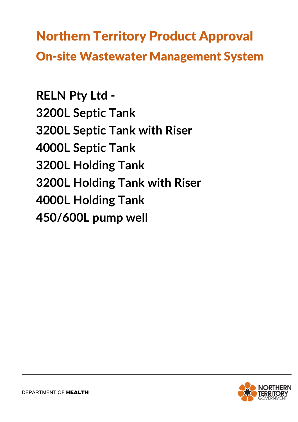Northern Territory Product Approval On-site Wastewater Management System

**RELN Pty Ltd - 3200L Septic Tank 3200L Septic Tank with Riser 4000L Septic Tank 3200L Holding Tank 3200L Holding Tank with Riser 4000L Holding Tank 450/600L pump well**

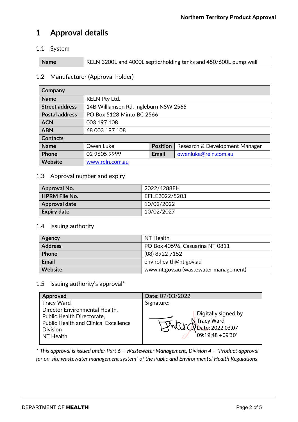# **1 Approval details**

#### 1.1 System

## 1.2 Manufacturer (Approval holder)

| Company               |                                       |                 |                                |  |  |
|-----------------------|---------------------------------------|-----------------|--------------------------------|--|--|
| <b>Name</b>           | <b>RELN Pty Ltd.</b>                  |                 |                                |  |  |
| <b>Street address</b> | 14B Williamson Rd, Ingleburn NSW 2565 |                 |                                |  |  |
| <b>Postal address</b> | PO Box 5128 Minto BC 2566             |                 |                                |  |  |
| <b>ACN</b>            | 003 197 108                           |                 |                                |  |  |
| <b>ABN</b>            | 68 003 197 108                        |                 |                                |  |  |
| <b>Contacts</b>       |                                       |                 |                                |  |  |
| <b>Name</b>           | Owen Luke                             | <b>Position</b> | Research & Development Manager |  |  |
| <b>Phone</b>          | 02 9605 9999                          | <b>Email</b>    | owenluke@reln.com.au           |  |  |
| Website               | www.reln.com.au                       |                 |                                |  |  |

#### 1.3 Approval number and expiry

| <b>Approval No.</b>  | 2022/4288EH    |
|----------------------|----------------|
| <b>HPRM File No.</b> | EFILE2022/5203 |
| <b>Approval date</b> | 10/02/2022     |
| <b>Expiry date</b>   | 10/02/2027     |

#### 1.4 Issuing authority

| Agency         | NT Health                             |
|----------------|---------------------------------------|
| <b>Address</b> | PO Box 40596, Casuarina NT 0811       |
| <b>Phone</b>   | (08) 8922 7152                        |
| <b>Email</b>   | envirohealth@nt.gov.au                |
| Website        | www.nt.gov.au (wastewater management) |

## 1.5 Issuing authority's approval\*

| <b>Approved</b>                                              | Date: 07/03/2022    |  |  |
|--------------------------------------------------------------|---------------------|--|--|
| <b>Tracy Ward</b>                                            | Signature:          |  |  |
| Director Environmental Health,<br>Public Health Directorate, | Digitally signed by |  |  |
| <b>Public Health and Clinical Excellence</b>                 | <b>Tracy Ward</b>   |  |  |
| <b>Division</b>                                              | Date: 2022.03.07    |  |  |
| NT Health                                                    | 09:19:48 +09'30'    |  |  |

\* *This approval is issued under Part 6 – Wastewater Management, Division 4 – "Product approval for on-site wastewater management system" of the Public and Environmental Health Regulations*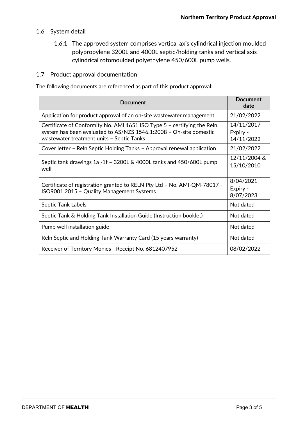## 1.6 System detail

1.6.1 The approved system comprises vertical axis cylindrical injection moulded polypropylene 3200L and 4000L septic/holding tanks and vertical axis cylindrical rotomoulded polyethylene 450/600L pump wells.

#### 1.7 Product approval documentation

The following documents are referenced as part of this product approval:

| <b>Document</b>                                                                                                                                                                            | <b>Document</b><br>date              |
|--------------------------------------------------------------------------------------------------------------------------------------------------------------------------------------------|--------------------------------------|
| Application for product approval of an on-site wastewater management                                                                                                                       | 21/02/2022                           |
| Certificate of Conformity No. AMI 1651 ISO Type 5 - certifying the Reln<br>system has been evaluated to AS/NZS 1546.1:2008 - On-site domestic<br>wastewater treatment units - Septic Tanks | 14/11/2017<br>Expiry -<br>14/11/2022 |
| Cover letter - Reln Septic Holding Tanks - Approval renewal application                                                                                                                    | 21/02/2022                           |
| Septic tank drawings 1a -1f $-$ 3200L & 4000L tanks and 450/600L pump<br>well                                                                                                              | 12/11/2004 &<br>15/10/2010           |
| Certificate of registration granted to RELN Pty Ltd - No. AMI-QM-78017 -<br>ISO9001:2015 - Quality Management Systems                                                                      | 8/04/2021<br>Expiry -<br>8/07/2023   |
| Septic Tank Labels                                                                                                                                                                         | Not dated                            |
| Septic Tank & Holding Tank Installation Guide (Instruction booklet)                                                                                                                        | Not dated                            |
| Pump well installation guide                                                                                                                                                               | Not dated                            |
| Reln Septic and Holding Tank Warranty Card (15 years warranty)                                                                                                                             | Not dated                            |
| Receiver of Territory Monies - Receipt No. 6812407952                                                                                                                                      | 08/02/2022                           |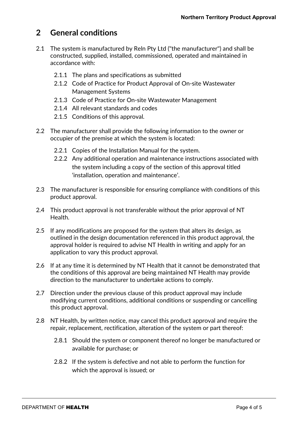## **2 General conditions**

- 2.1 The system is manufactured by Reln Pty Ltd ("the manufacturer") and shall be constructed, supplied, installed, commissioned, operated and maintained in accordance with:
	- 2.1.1 The plans and specifications as submitted
	- 2.1.2 Code of Practice for Product Approval of On-site Wastewater Management Systems
	- 2.1.3 Code of Practice for On-site Wastewater Management
	- 2.1.4 All relevant standards and codes
	- 2.1.5 Conditions of this approval.
- 2.2 The manufacturer shall provide the following information to the owner or occupier of the premise at which the system is located:
	- 2.2.1 Copies of the Installation Manual for the system.
	- 2.2.2 Any additional operation and maintenance instructions associated with the system including a copy of the section of this approval titled 'installation, operation and maintenance'.
- 2.3 The manufacturer is responsible for ensuring compliance with conditions of this product approval.
- 2.4 This product approval is not transferable without the prior approval of NT Health.
- 2.5 If any modifications are proposed for the system that alters its design, as outlined in the design documentation referenced in this product approval, the approval holder is required to advise NT Health in writing and apply for an application to vary this product approval.
- 2.6 If at any time it is determined by NT Health that it cannot be demonstrated that the conditions of this approval are being maintained NT Health may provide direction to the manufacturer to undertake actions to comply.
- 2.7 Direction under the previous clause of this product approval may include modifying current conditions, additional conditions or suspending or cancelling this product approval.
- 2.8 NT Health, by written notice, may cancel this product approval and require the repair, replacement, rectification, alteration of the system or part thereof:
	- 2.8.1 Should the system or component thereof no longer be manufactured or available for purchase; or
	- 2.8.2 If the system is defective and not able to perform the function for which the approval is issued; or